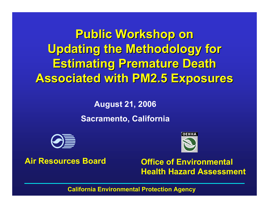**Public Workshop on Public Workshop on Updating the Methodology for Updating the Methodology for Estimating Premature Death Associated with PM2.5 Exposures Associated with PM2.5 Exposures**

> **August 21, 2006 Sacramento, California**



#### **Air Resources Board**



 **Office of Environmental Health Hazard Assessment**

**California Environmental Protection Agency**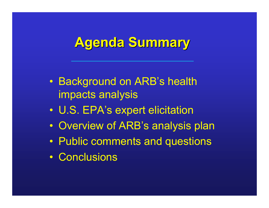#### **Agenda Summary Agenda Summary**

- Background on ARB's health impacts analysis
- $\bullet$ U.S. EPA's expert elicitation
- $\bullet$ Overview of ARB's analysis plan
- Public comments and questions
- Conclusions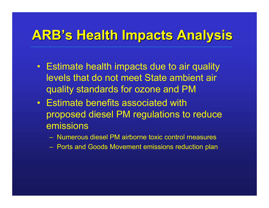## **ARB's Health Impacts Analysis Health Impacts Analysis**

- Estimate health impacts due to air quality levels that do not meet State ambient air quality standards for ozone and PM
- Estimate benefits associated with proposed diesel PM regulations to reduce emissions
	- Numerous diesel PM airborne toxic control measures
	- Ports and Goods Movement emissions reduction plan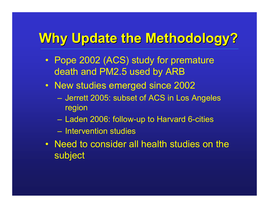## **Why Update the Methodology? Why Update the Methodology?**

- Pope 2002 (ACS) study for premature death and PM2.5 used by ARB
- New studies emerged since 2002
	- Jerrett 2005: subset of ACS in Los Angeles region
	- Laden 2006: follow-up to Harvard 6-cities
	- Intervention studies
- Need to consider all health studies on the subject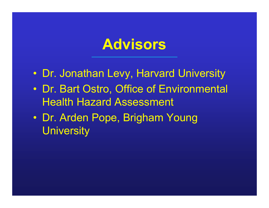#### **Advisors**

- Dr. Jonathan Levy, Harvard University
- $\bullet$  Dr. Bart Ostro, Office of Environmental Health Hazard Assessment
- Dr. Arden Pope, Brigham Young **University**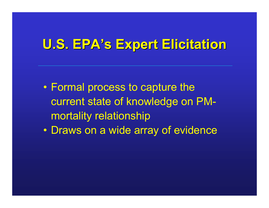#### **U.S. EPA U.S. EPA's Expert Elicitation s Expert Elicitation**

- Formal process to capture the current state of knowledge on PMmortality relationship
- $\bullet$ Draws on a wide array of evidence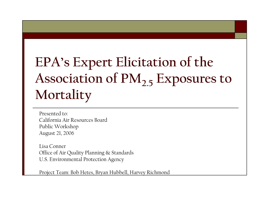## **EPA's Expert Elicitation of the Association of PM2.5 Exposures to Mortality**

Presented to: California Air Resources BoardPublic Workshop August 21, 2006

Lisa ConnerOffice of Air Quality Planning & Standards U.S. Environmental Protection Agency

Project Team: Bob Hetes, Bryan Hubbell, Harvey Richmond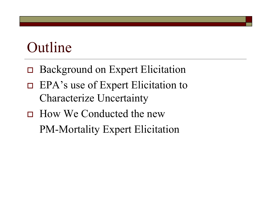## Outline

- □ Background on Expert Elicitation
- $\Box$  EPA's use of Expert Elicitation to Characterize Uncertainty
- □ How We Conducted the new PM-Mortality Expert Elicitation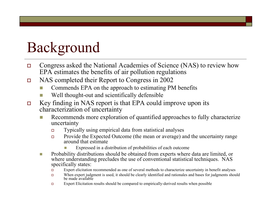## Background

- $\Box$  Congress asked the National Academies of Science (NAS) to review how EPA estimates the benefits of air pollution regulations
- П NAS completed their Report to Congress in 2002
	- F. Commends EPA on the approach to estimating PM benefits
	- F. Well thought-out and scientifically defensible
- $\Box$  Key finding in NAS report is that EPA could improve upon its characterization of uncertainty
	- Recommends more exploration of quantified approaches to fully characterize uncertainty
		- $\Box$ Typically using empirical data from statistical analyses
		- $\Box$  Provide the Expected Outcome (the mean or average) and the uncertainty range around that estimate
			- Expressed in a distribution of probabilities of each outcome
	- $\mathcal{C}^{\mathcal{A}}$  Probability distributions should be obtained from experts where data are limited, or where understanding precludes the use of conventional statistical techniques. NAS specifically states:
		- $\Box$ Expert elicitation recommended as one of several methods to characterize uncertainty in benefit analyses
		- $\Box$  When expert judgment is used, it should be clearly identified and rationales and bases for judgments should be made available
		- $\Box$ Expert Elicitation results should be compared to empirically-derived results when possible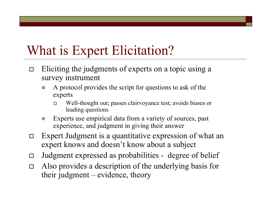#### What is Expert Elicitation?

- $\Box$  Eliciting the judgments of experts on a topic using a survey instrument
	- A protocol provides the script for questions to ask of the experts
		- $\Box$  Well-thought out; passes clairvoyance test; avoids biases or leading questions
	- Experts use empirical data from a variety of sources, past experience, and judgment in giving their answer
- $\Box$  Expert Judgment is a quantitative expression of what an expert knows and doesn't know about a subject
- $\Box$ Judgment expressed as probabilities - degree of belief
- $\Box$  Also provides a description of the underlying basis for their judgment – evidence, theory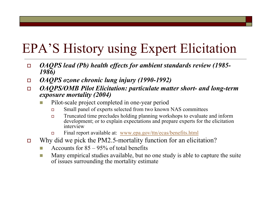## EPA'S History using Expert Elicitation

- $\Box$  *OAQPS lead (Pb) health effects for ambient standards review (1985- 1986)*
- П *OAQPS ozone chronic lung injury (1990-1992)*
- $\Box$  *OAQPS/OMB Pilot Elicitation: particulate matter short- and long-term exposure mortality (2004)*
	- F. Pilot-scale project completed in one-year period
		- $\Box$ Small panel of experts selected from two known NAS committees
		- $\Box$  Truncated time precludes holding planning workshops to evaluate and inform development; or to explain expectations and prepare experts for the elicitation interview
		- □ Final report available at: www.epa.gov/ttn/ecas/benefits.html
- $\Box$  Why did we pick the PM2.5-mortality function for an elicitation?
	- F. Accounts for 85 – 95% of total benefits
	- Т. Many empirical studies available, but no one study is able to capture the suite of issues surrounding the mortality estimate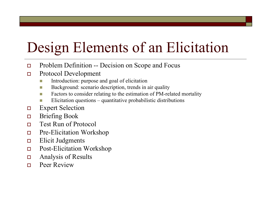# Design Elements of an Elicitation

- $\Box$ Problem Definition -- Decision on Scope and Focus
- $\Box$  Protocol Development
	- Introduction: purpose and goal of elicitation
	- Г Background: scenario description, trends in air quality
	- a a Factors to consider relating to the estimation of PM-related mortality
	- Elicitation questions quantitative probabilistic distributions
- П Expert Selection
- $\Box$ Briefing Book
- $\Box$ Test Run of Protocol
- П Pre-Elicitation Workshop
- П Elicit Judgments
- $\Box$ Post-Elicitation Workshop
- П Analysis of Results
- $\Box$ Peer Review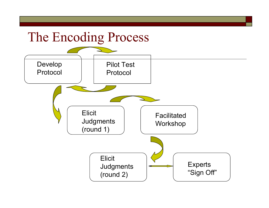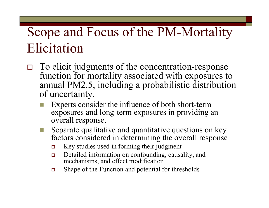#### Scope and Focus of the PM-Mortality Elicitation

- $\Box$  To elicit judgments of the concentration-response function for mortality associated with exposures to annual PM2.5, including a probabilistic distribution of uncertainty.
	- F. Experts consider the influence of both short-term exposures and long-term exposures in providing an overall response.
	- Separate qualitative and quantitative questions on key factors considered in determining the overall response
		- $\Box$ Key studies used in forming their judgment
		- $\Box$  Detailed information on confounding, causality, and mechanisms, and effect modification
		- $\Box$ Shape of the Function and potential for thresholds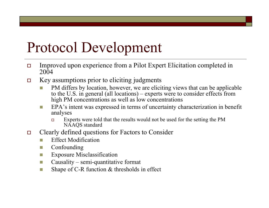## Protocol Development

- $\Box$  Improved upon experience from a Pilot Expert Elicitation completed in 2004
- $\Box$  Key assumptions prior to eliciting judgments
	- F. PM differs by location, however, we are eliciting views that can be applicable to the U.S. in general (all locations) – experts were to consider effects from high PM concentrations as well as low concentrations
	- H. EPA's intent was expressed in terms of uncertainty characterization in benefit analyses
		- $\Box$  Experts were told that the results would not be used for the setting the PM NAAQS standard
- П Clearly defined questions for Factors to Consider
	- F. Effect Modification
	- F. Confounding
	- F. Exposure Misclassification
	- **College** Causality – semi-quantitative format
	- T. Shape of C-R function & thresholds in effect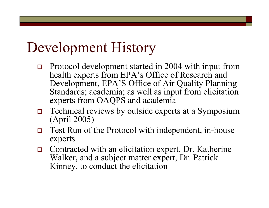## Development History

- $\Box$  Protocol development started in 2004 with input from health experts from EPA's Office of Research and Development, EPA'S Office of Air Quality Planning Standards; academia; as well as input from elicitation experts from OAQPS and academia
- $\Box$  Technical reviews by outside experts at a Symposium (April 2005)
- $\Box$  Test Run of the Protocol with independent, in-house experts
- Contracted with an elicitation expert, Dr. Katherine Walker, and a subject matter expert, Dr. Patrick Kinney, to conduct the elicitation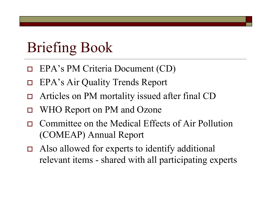## Briefing Book

- $\Box$ EPA's PM Criteria Document (CD)
- $\Box$ EPA's Air Quality Trends Report
- $\Box$ Articles on PM mortality issued after final CD
- $\Box$ WHO Report on PM and Ozone
- $\Box$  Committee on the Medical Effects of Air Pollution (COMEAP) Annual Report
- Also allowed for experts to identify additional relevant items - shared with all participating experts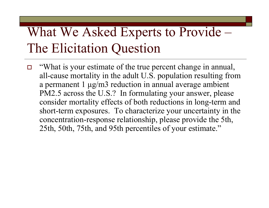## What We Asked Experts to Provide – The Elicitation Question

 $\Box$  "What is your estimate of the true percent change in annual, all-cause mortality in the adult U.S. population resulting from a permanent 1 µg/m3 reduction in annual average ambient PM2.5 across the U.S.? In formulating your answer, please consider mortality effects of both reductions in long-term and short-term exposures. To characterize your uncertainty in the concentration-response relationship, please provide the 5th, 25th, 50th, 75th, and 95th percentiles of your estimate."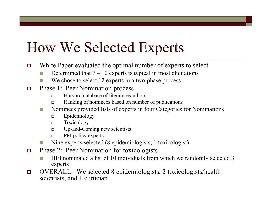## How We Selected Experts

- $\Box$  White Paper evaluated the optimal number of experts to select
	- F. Determined that  $7 - 10$  experts is typical in most elicitations
	- F. We chose to select 12 experts in a two-phase process
- $\Box$  Phase 1: Peer Nomination process
	- $\Box$ Harvard database of literature/authors
	- $\Box$ Ranking of nominees based on number of publications
	- $\mathbb{R}^3$  Nominees provided lists of experts in four Categories for Nominations
		- $\Box$ Epidemiology
		- $\Box$ Toxicology
		- $\Box$ Up-and-Coming new scientists
		- $\Box$ PM policy experts
	- F. Nine experts selected (8 epidemiologists, 1 toxicologist)
- $\Box$  Phase 2: Peer Nomination for toxicologists
	- F. HEI nominated a list of 10 individuals from which we randomly selected 3 experts
- $\Box$  OVERALL: We selected 8 epidemiologists, 3 toxicologists/health scientists, and 1 clinician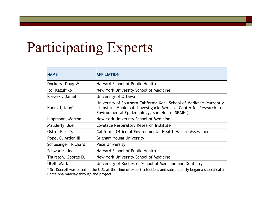## Participating Experts

| <b>NAME</b>                                                                                                                                            | <b>AFFILIATION</b>                                                                                                                                                                            |  |
|--------------------------------------------------------------------------------------------------------------------------------------------------------|-----------------------------------------------------------------------------------------------------------------------------------------------------------------------------------------------|--|
| Dockery, Doug W.                                                                                                                                       | Harvard School of Public Health                                                                                                                                                               |  |
| lto, Kazuhiko                                                                                                                                          | New York University School of Medicine                                                                                                                                                        |  |
| Krewski, Daniel                                                                                                                                        | University of Ottawa                                                                                                                                                                          |  |
| Kuenzli, Nino*                                                                                                                                         | University of Southern California Keck School of Medicine (currently<br>at Institut Municipal d'Investigació Mèdica - Center for Research in<br>Environmental Epidemiology, Barcelona, SPAIN) |  |
| Lippmann, Morton                                                                                                                                       | New York University School of Medicine                                                                                                                                                        |  |
| Mauderly, Joe                                                                                                                                          | Lovelace Respiratory Research Institute                                                                                                                                                       |  |
| Ostro, Bart D.                                                                                                                                         | California Office of Environmental Health Hazard Assessment                                                                                                                                   |  |
| Pope, C. Arden III                                                                                                                                     | Brigham Young University                                                                                                                                                                      |  |
| Schlesinger, Richard                                                                                                                                   | <b>Pace University</b>                                                                                                                                                                        |  |
| Schwartz, Joel                                                                                                                                         | Harvard School of Public Health                                                                                                                                                               |  |
| Thurston, George D.                                                                                                                                    | New York University School of Medicine                                                                                                                                                        |  |
| Utell, Mark                                                                                                                                            | University of Rochester School of Medicine and Dentistry                                                                                                                                      |  |
| $*$ Dr. Kuenzli was based in the U.S. at the time of expert selection, and subsequently began a sabbatical in<br>Barcelona midway through the project. |                                                                                                                                                                                               |  |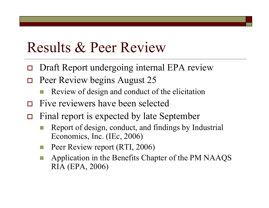#### Results & Peer Review

- $\Box$ Draft Report undergoing internal EPA review
- $\Box$  Peer Review begins August 25
	- Review of design and conduct of the elicitation
- $\Box$ Five reviewers have been selected
- $\Box$  Final report is expected by late September
	- Report of design, conduct, and findings by Industrial Economics, Inc. (IEc, 2006)
	- Peer Review report (RTI, 2006)
	- Application in the Benefits Chapter of the PM NAAQS RIA (EPA, 2006)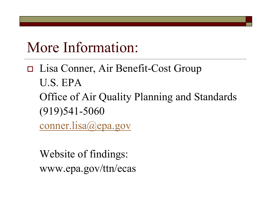## More Information:

 Lisa Conner, Air Benefit-Cost Group U.S. EPAOffice of Air Quality Planning and Standards (919)541-5060 conner.lisa@epa.gov

Website of findings: www.epa.gov/ttn/ecas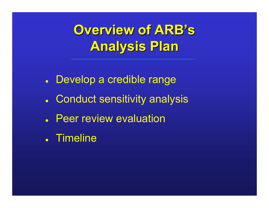$O$ verview of  $ARB'$  **s Analysis Plan Analysis Plan**

- Develop a credible range
- Conduct sensitivity analysis
- **Peer review evaluation**
- **.** Timeline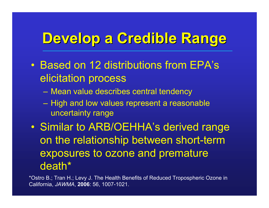## **Develop a Credible Range Develop a Credible Range**

- Based on 12 distributions from EPA's elicitation process
	- –Mean value describes central tendency
	- – High and low values represent a reasonable uncertainty range
- $\bullet$  Similar to ARB/OEHHA's derived range on the relationship between short-term exposures to ozone and premature death\*

\*Ostro B.; Tran H.; Levy J. The Health Benefits of Reduced Tropospheric Ozone in California, *JAWMA*, **2006**: 56, 1007-1021.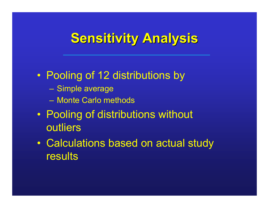## **Sensitivity Analysis**

#### $\bullet$ Pooling of 12 distributions by

- Simple average
- Monte Carlo methods
- $\bullet$  Pooling of distributions without outliers
- $\bullet$  Calculations based on actual study results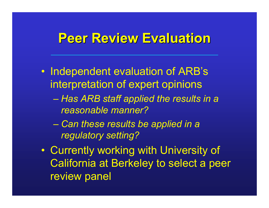#### **Peer Review Evaluation Peer Review Evaluation**

- $\bullet$  Independent evaluation of ARB's interpretation of expert opinions
	- *Has ARB staff applied the results in a reasonable manner?*
	- *Can these results be applied in a regulatory setting?*
- $\bullet$  Currently working with University of California at Berkeley to select a peer review panel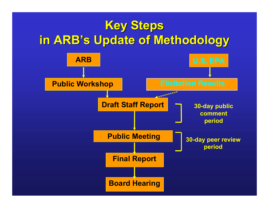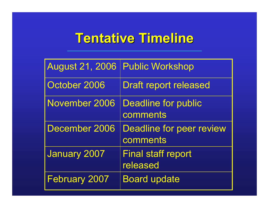### **Tentative Timeline Tentative Timeline**

| <b>August 21, 2006</b> | <b>Public Workshop</b>                      |
|------------------------|---------------------------------------------|
| October 2006           | <b>Draft report released</b>                |
| <b>November 2006</b>   | <b>Deadline for public</b><br>comments      |
| December 2006          | <b>Deadline for peer review</b><br>comments |
| <b>January 2007</b>    | <b>Final staff report</b><br>released       |
| <b>February 2007</b>   | <b>Board update</b>                         |